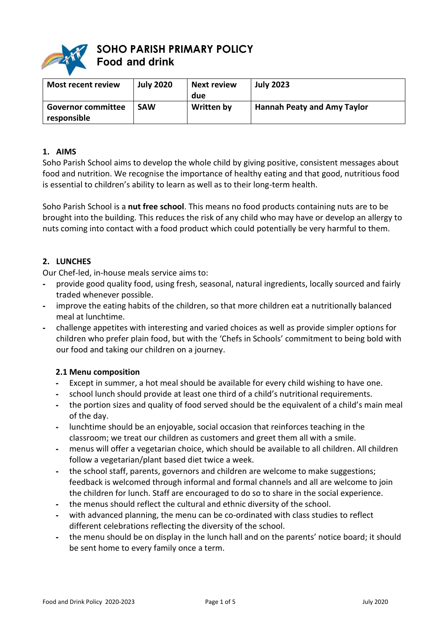

# **SOHO PARISH PRIMARY POLICY Food and drink**

| <b>Most recent review</b>                | <b>July 2020</b> | <b>Next review</b><br>due | <b>July 2023</b>                   |
|------------------------------------------|------------------|---------------------------|------------------------------------|
| <b>Governor committee</b><br>responsible | <b>SAW</b>       | Written by                | <b>Hannah Peaty and Amy Taylor</b> |

### **1. AIMS**

Soho Parish School aims to develop the whole child by giving positive, consistent messages about food and nutrition. We recognise the importance of healthy eating and that good, nutritious food is essential to children's ability to learn as well as to their long-term health.

Soho Parish School is a **nut free school**. This means no food products containing nuts are to be brought into the building. This reduces the risk of any child who may have or develop an allergy to nuts coming into contact with a food product which could potentially be very harmful to them.

### **2. LUNCHES**

Our Chef-led, in-house meals service aims to:

- **-** provide good quality food, using fresh, seasonal, natural ingredients, locally sourced and fairly traded whenever possible.
- **-** improve the eating habits of the children, so that more children eat a nutritionally balanced meal at lunchtime.
- **-** challenge appetites with interesting and varied choices as well as provide simpler options for children who prefer plain food, but with the 'Chefs in Schools' commitment to being bold with our food and taking our children on a journey.

### **2.1 Menu composition**

- **-** Except in summer, a hot meal should be available for every child wishing to have one.
- **-** school lunch should provide at least one third of a child's nutritional requirements.
- **-** the portion sizes and quality of food served should be the equivalent of a child's main meal of the day.
- **-** lunchtime should be an enjoyable, social occasion that reinforces teaching in the classroom; we treat our children as customers and greet them all with a smile.
- **-** menus will offer a vegetarian choice, which should be available to all children. All children follow a vegetarian/plant based diet twice a week.
- **-** the school staff, parents, governors and children are welcome to make suggestions; feedback is welcomed through informal and formal channels and all are welcome to join the children for lunch. Staff are encouraged to do so to share in the social experience.
- **-** the menus should reflect the cultural and ethnic diversity of the school.
- **-** with advanced planning, the menu can be co-ordinated with class studies to reflect different celebrations reflecting the diversity of the school.
- **-** the menu should be on display in the lunch hall and on the parents' notice board; it should be sent home to every family once a term.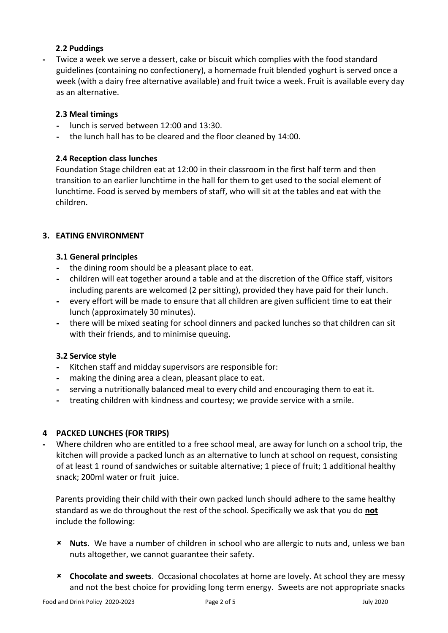### **2.2 Puddings**

**-** Twice a week we serve a dessert, cake or biscuit which complies with the food standard guidelines (containing no confectionery), a homemade fruit blended yoghurt is served once a week (with a dairy free alternative available) and fruit twice a week. Fruit is available every day as an alternative.

### **2.3 Meal timings**

- **-** lunch is served between 12:00 and 13:30.
- **-** the lunch hall has to be cleared and the floor cleaned by 14:00.

### **2.4 Reception class lunches**

Foundation Stage children eat at 12:00 in their classroom in the first half term and then transition to an earlier lunchtime in the hall for them to get used to the social element of lunchtime. Food is served by members of staff, who will sit at the tables and eat with the children.

### **3. EATING ENVIRONMENT**

### **3.1 General principles**

- **-** the dining room should be a pleasant place to eat.
- **-** children will eat together around a table and at the discretion of the Office staff, visitors including parents are welcomed (2 per sitting), provided they have paid for their lunch.
- **-** every effort will be made to ensure that all children are given sufficient time to eat their lunch (approximately 30 minutes).
- **-** there will be mixed seating for school dinners and packed lunches so that children can sit with their friends, and to minimise queuing.

### **3.2 Service style**

- **-** Kitchen staff and midday supervisors are responsible for:
- **-** making the dining area a clean, pleasant place to eat.
- **-** serving a nutritionally balanced meal to every child and encouraging them to eat it.
- **-** treating children with kindness and courtesy; we provide service with a smile.

### **4 PACKED LUNCHES (FOR TRIPS)**

**-** Where children who are entitled to a free school meal, are away for lunch on a school trip, the kitchen will provide a packed lunch as an alternative to lunch at school on request, consisting of at least 1 round of sandwiches or suitable alternative; 1 piece of fruit; 1 additional healthy snack; 200ml water or fruit juice.

Parents providing their child with their own packed lunch should adhere to the same healthy standard as we do throughout the rest of the school. Specifically we ask that you do **not** include the following:

- **Nuts**. We have a number of children in school who are allergic to nuts and, unless we ban nuts altogether, we cannot guarantee their safety.
- **Chocolate and sweets**. Occasional chocolates at home are lovely. At school they are messy and not the best choice for providing long term energy. Sweets are not appropriate snacks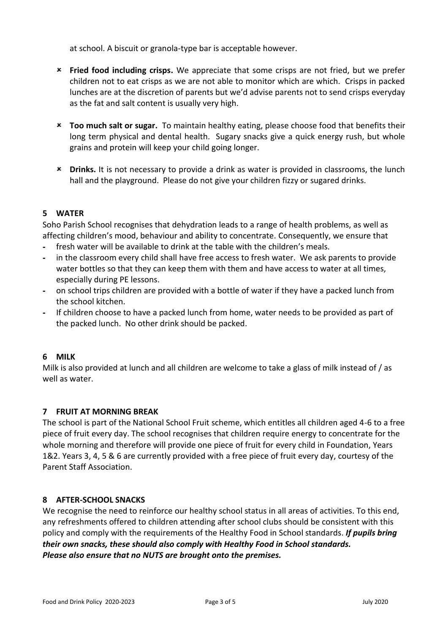at school. A biscuit or granola-type bar is acceptable however.

- **Fried food including crisps.** We appreciate that some crisps are not fried, but we prefer children not to eat crisps as we are not able to monitor which are which. Crisps in packed lunches are at the discretion of parents but we'd advise parents not to send crisps everyday as the fat and salt content is usually very high.
- **Too much salt or sugar.** To maintain healthy eating, please choose food that benefits their long term physical and dental health. Sugary snacks give a quick energy rush, but whole grains and protein will keep your child going longer.
- **Drinks.** It is not necessary to provide a drink as water is provided in classrooms, the lunch hall and the playground. Please do not give your children fizzy or sugared drinks.

# **5 WATER**

Soho Parish School recognises that dehydration leads to a range of health problems, as well as affecting children's mood, behaviour and ability to concentrate. Consequently, we ensure that

- **-** fresh water will be available to drink at the table with the children's meals.
- **-** in the classroom every child shall have free access to fresh water. We ask parents to provide water bottles so that they can keep them with them and have access to water at all times, especially during PE lessons.
- **-** on school trips children are provided with a bottle of water if they have a packed lunch from the school kitchen.
- **-** If children choose to have a packed lunch from home, water needs to be provided as part of the packed lunch. No other drink should be packed.

### **6 MILK**

Milk is also provided at lunch and all children are welcome to take a glass of milk instead of / as well as water.

### **7 FRUIT AT MORNING BREAK**

The school is part of the National School Fruit scheme, which entitles all children aged 4-6 to a free piece of fruit every day. The school recognises that children require energy to concentrate for the whole morning and therefore will provide one piece of fruit for every child in Foundation, Years 1&2. Years 3, 4, 5 & 6 are currently provided with a free piece of fruit every day, courtesy of the Parent Staff Association.

### **8 AFTER-SCHOOL SNACKS**

We recognise the need to reinforce our healthy school status in all areas of activities. To this end, any refreshments offered to children attending after school clubs should be consistent with this policy and comply with the requirements of the Healthy Food in School standards. *If pupils bring their own snacks, these should also comply with Healthy Food in School standards. Please also ensure that no NUTS are brought onto the premises.*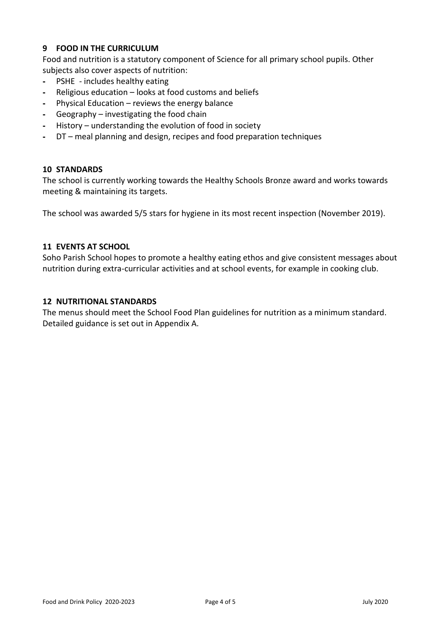## **9 FOOD IN THE CURRICULUM**

Food and nutrition is a statutory component of Science for all primary school pupils. Other subjects also cover aspects of nutrition:

- **-** PSHE includes healthy eating
- **-** Religious education looks at food customs and beliefs
- **-** Physical Education reviews the energy balance
- **-** Geography investigating the food chain
- **-** History understanding the evolution of food in society
- **-** DT meal planning and design, recipes and food preparation techniques

### **10 STANDARDS**

The school is currently working towards the Healthy Schools Bronze award and works towards meeting & maintaining its targets.

The school was awarded 5/5 stars for hygiene in its most recent inspection (November 2019).

### **11 EVENTS AT SCHOOL**

Soho Parish School hopes to promote a healthy eating ethos and give consistent messages about nutrition during extra-curricular activities and at school events, for example in cooking club.

### **12 NUTRITIONAL STANDARDS**

The menus should meet the School Food Plan guidelines for nutrition as a minimum standard. Detailed guidance is set out in Appendix A.